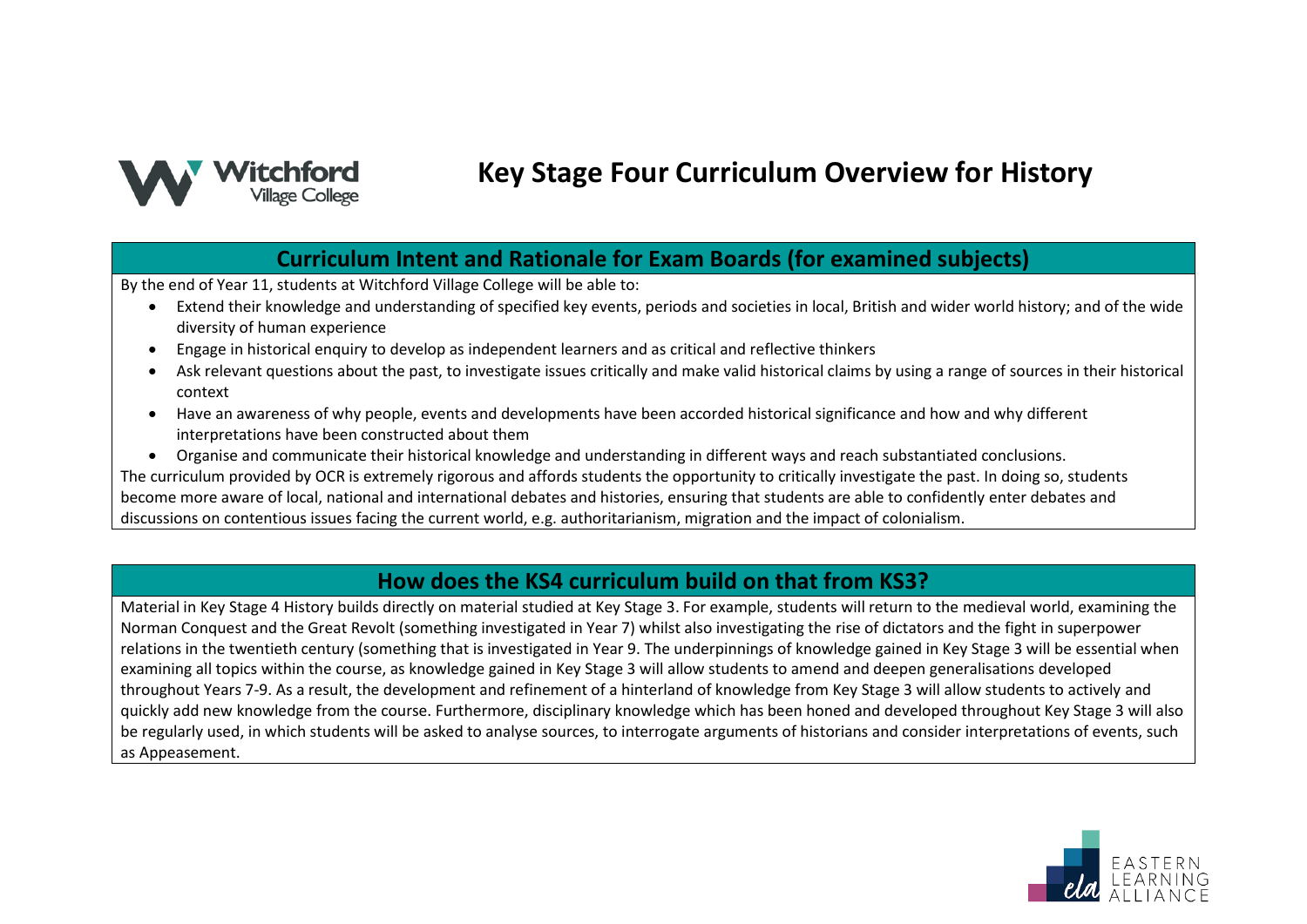

# **Key Stage Four Curriculum Overview for History**

## **Curriculum Intent and Rationale for Exam Boards (for examined subjects)**

By the end of Year 11, students at Witchford Village College will be able to:

- Extend their knowledge and understanding of specified key events, periods and societies in local, British and wider world history; and of the wide diversity of human experience
- Engage in historical enquiry to develop as independent learners and as critical and reflective thinkers
- Ask relevant questions about the past, to investigate issues critically and make valid historical claims by using a range of sources in their historical context
- Have an awareness of why people, events and developments have been accorded historical significance and how and why different interpretations have been constructed about them
- Organise and communicate their historical knowledge and understanding in different ways and reach substantiated conclusions.

The curriculum provided by OCR is extremely rigorous and affords students the opportunity to critically investigate the past. In doing so, students become more aware of local, national and international debates and histories, ensuring that students are able to confidently enter debates and discussions on contentious issues facing the current world, e.g. authoritarianism, migration and the impact of colonialism.

#### **How does the KS4 curriculum build on that from KS3?**

Material in Key Stage 4 History builds directly on material studied at Key Stage 3. For example, students will return to the medieval world, examining the Norman Conquest and the Great Revolt (something investigated in Year 7) whilst also investigating the rise of dictators and the fight in superpower relations in the twentieth century (something that is investigated in Year 9. The underpinnings of knowledge gained in Key Stage 3 will be essential when examining all topics within the course, as knowledge gained in Key Stage 3 will allow students to amend and deepen generalisations developed throughout Years 7-9. As a result, the development and refinement of a hinterland of knowledge from Key Stage 3 will allow students to actively and quickly add new knowledge from the course. Furthermore, disciplinary knowledge which has been honed and developed throughout Key Stage 3 will also be regularly used, in which students will be asked to analyse sources, to interrogate arguments of historians and consider interpretations of events, such as Appeasement.